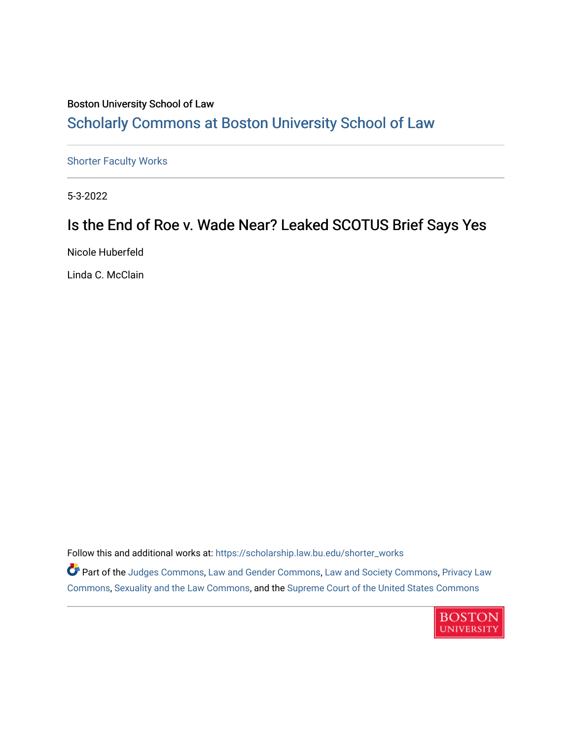#### Boston University School of Law [Scholarly Commons at Boston University School of Law](https://scholarship.law.bu.edu/)

[Shorter Faculty Works](https://scholarship.law.bu.edu/shorter_works)

5-3-2022

#### Is the End of Roe v. Wade Near? Leaked SCOTUS Brief Says Yes

Nicole Huberfeld

Linda C. McClain

Follow this and additional works at: [https://scholarship.law.bu.edu/shorter\\_works](https://scholarship.law.bu.edu/shorter_works?utm_source=scholarship.law.bu.edu%2Fshorter_works%2F150&utm_medium=PDF&utm_campaign=PDFCoverPages)

Part of the [Judges Commons,](https://network.bepress.com/hgg/discipline/849?utm_source=scholarship.law.bu.edu%2Fshorter_works%2F150&utm_medium=PDF&utm_campaign=PDFCoverPages) [Law and Gender Commons](https://network.bepress.com/hgg/discipline/1298?utm_source=scholarship.law.bu.edu%2Fshorter_works%2F150&utm_medium=PDF&utm_campaign=PDFCoverPages), [Law and Society Commons,](https://network.bepress.com/hgg/discipline/853?utm_source=scholarship.law.bu.edu%2Fshorter_works%2F150&utm_medium=PDF&utm_campaign=PDFCoverPages) [Privacy Law](https://network.bepress.com/hgg/discipline/1234?utm_source=scholarship.law.bu.edu%2Fshorter_works%2F150&utm_medium=PDF&utm_campaign=PDFCoverPages) [Commons](https://network.bepress.com/hgg/discipline/1234?utm_source=scholarship.law.bu.edu%2Fshorter_works%2F150&utm_medium=PDF&utm_campaign=PDFCoverPages), [Sexuality and the Law Commons,](https://network.bepress.com/hgg/discipline/877?utm_source=scholarship.law.bu.edu%2Fshorter_works%2F150&utm_medium=PDF&utm_campaign=PDFCoverPages) and the [Supreme Court of the United States Commons](https://network.bepress.com/hgg/discipline/1350?utm_source=scholarship.law.bu.edu%2Fshorter_works%2F150&utm_medium=PDF&utm_campaign=PDFCoverPages)

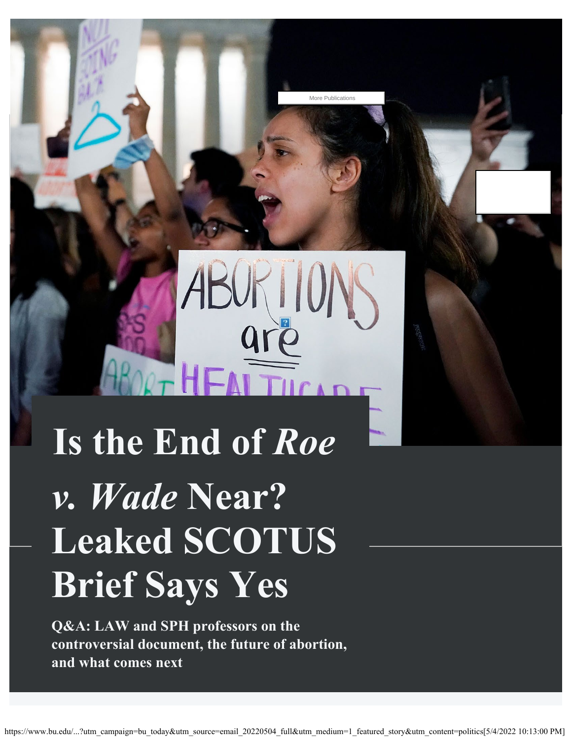# **Is the End of** *Roe v. Wade* **Near? Leaked SCOTUS Brief Says Yes**

OUTHEATTICLE

**Q&A: LAW and SPH professors on the controversial document, the future of abortion, and what comes next**

More Publications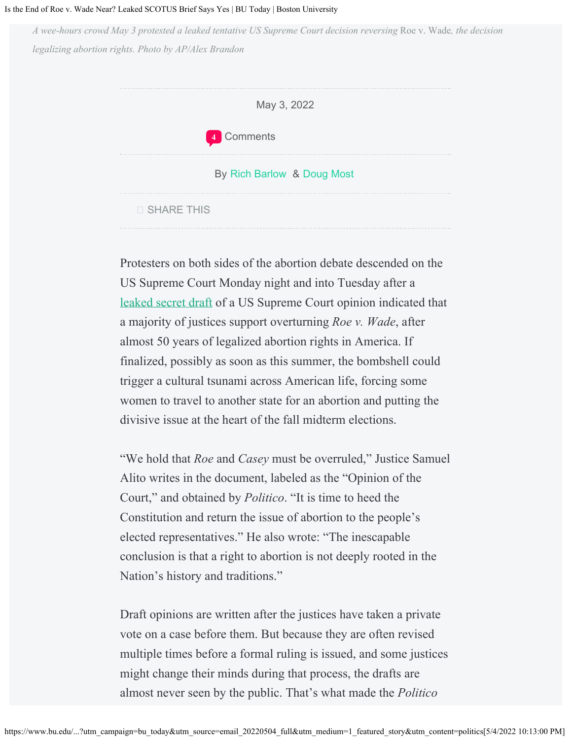#### Is the End of Roe v. Wade Near? Leaked SCOTUS Brief Says Yes | BU Today | Boston University

*A wee-hours crowd May 3 protested a leaked tentative US Supreme Court decision reversing* Roe v. Wade*, the decision legalizing abortion rights. Photo by AP/Alex Brandon*



Protesters on both sides of the abortion debate descended on the US Supreme Court Monday night and into Tuesday after a [leaked secret draft](https://www.politico.com/news/2022/05/02/supreme-court-abortion-draft-opinion-00029473) of a US Supreme Court opinion indicated that a majority of justices support overturning *Roe v. Wade*, after almost 50 years of legalized abortion rights in America. If finalized, possibly as soon as this summer, the bombshell could trigger a cultural tsunami across American life, forcing some women to travel to another state for an abortion and putting the divisive issue at the heart of the fall midterm elections.

"We hold that *Roe* and *Casey* must be overruled," Justice Samuel Alito writes in the document, labeled as the "Opinion of the Court," and obtained by *Politico*. "It is time to heed the Constitution and return the issue of abortion to the people's elected representatives." He also wrote: "The inescapable conclusion is that a right to abortion is not deeply rooted in the Nation's history and traditions."

Draft opinions are written after the justices have taken a private vote on a case before them. But because they are often revised multiple times before a formal ruling is issued, and some justices might change their minds during that process, the drafts are almost never seen by the public. That's what made the *Politico*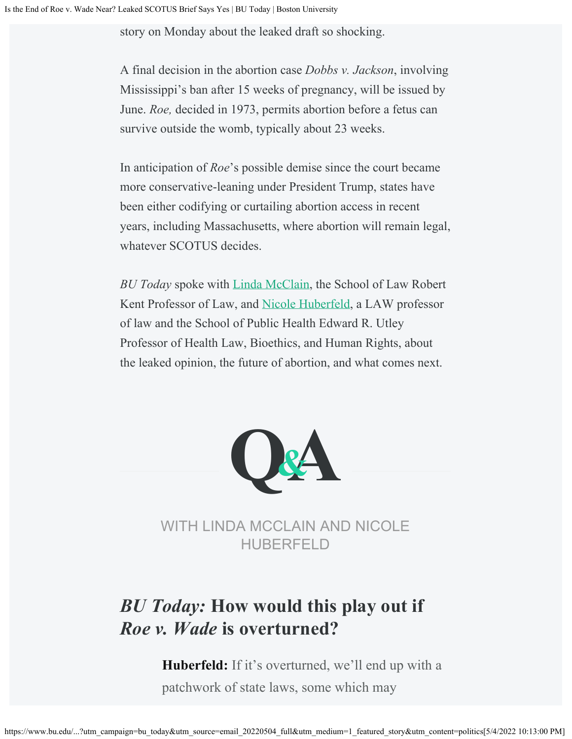story on Monday about the leaked draft so shocking.

A final decision in the abortion case *Dobbs v. Jackson*, involving Mississippi's ban after 15 weeks of pregnancy, will be issued by June. *Roe,* decided in 1973, permits abortion before a fetus can survive outside the womb, typically about 23 weeks.

In anticipation of *Roe*'s possible demise since the court became more conservative-leaning under President Trump, states have been either codifying or curtailing abortion access in recent years, including Massachusetts, where abortion will remain legal, whatever SCOTUS decides.

*BU Today* spoke with [Linda McClain](https://www.bu.edu/law/profile/linda-c-mcclain/), the School of Law Robert Kent Professor of Law, and [Nicole Huberfeld](https://www.bu.edu/law/profile/nicole-huberfeld/), a LAW professor of law and the School of Public Health Edward R. Utley Professor of Health Law, Bioethics, and Human Rights, about the leaked opinion, the future of abortion, and what comes next.



WITH LINDA MCCLAIN AND NICOLE HUBERFELD

## *BU Today:* **How would this play out if** *Roe v. Wade* **is overturned?**

**Huberfeld:** If it's overturned, we'll end up with a patchwork of state laws, some which may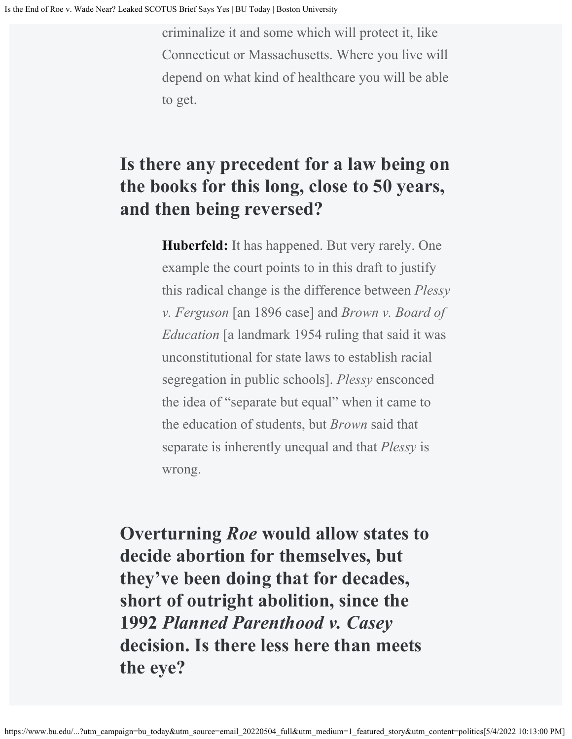criminalize it and some which will protect it, like Connecticut or Massachusetts. Where you live will depend on what kind of healthcare you will be able to get.

### **Is there any precedent for a law being on the books for this long, close to 50 years, and then being reversed?**

**Huberfeld:** It has happened. But very rarely. One example the court points to in this draft to justify this radical change is the difference between *Plessy v. Ferguson* [an 1896 case] and *Brown v. Board of Education* [a landmark 1954 ruling that said it was unconstitutional for state laws to establish racial segregation in public schools]. *Plessy* ensconced the idea of "separate but equal" when it came to the education of students, but *Brown* said that separate is inherently unequal and that *Plessy* is wrong.

**Overturning** *Roe* **would allow states to decide abortion for themselves, but they've been doing that for decades, short of outright abolition, since the 1992** *Planned Parenthood v. Casey* **decision. Is there less here than meets the eye?**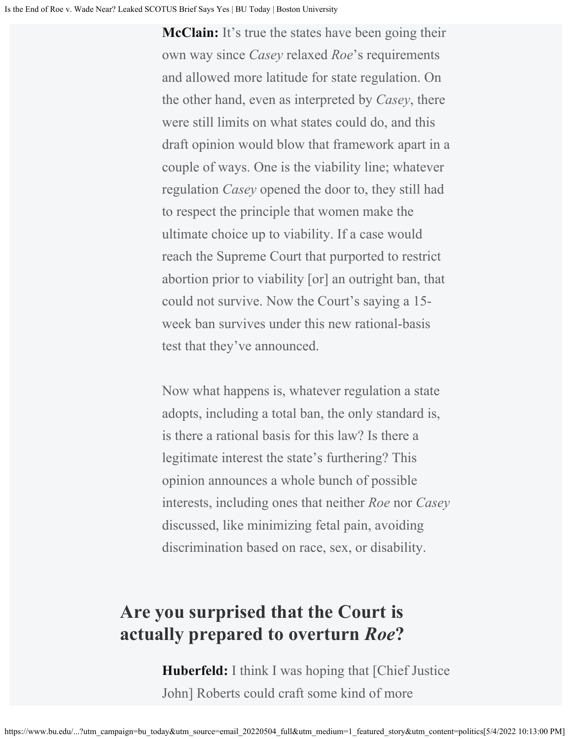**McClain:** It's true the states have been going their own way since *Casey* relaxed *Roe*'s requirements and allowed more latitude for state regulation. On the other hand, even as interpreted by *Casey*, there were still limits on what states could do, and this draft opinion would blow that framework apart in a couple of ways. One is the viability line; whatever regulation *Casey* opened the door to, they still had to respect the principle that women make the ultimate choice up to viability. If a case would reach the Supreme Court that purported to restrict abortion prior to viability [or] an outright ban, that could not survive. Now the Court's saying a 15 week ban survives under this new rational-basis test that they've announced.

Now what happens is, whatever regulation a state adopts, including a total ban, the only standard is, is there a rational basis for this law? Is there a legitimate interest the state's furthering? This opinion announces a whole bunch of possible interests, including ones that neither *Roe* nor *Casey* discussed, like minimizing fetal pain, avoiding discrimination based on race, sex, or disability.

#### **Are you surprised that the Court is actually prepared to overturn** *Roe***?**

**Huberfeld:** I think I was hoping that [Chief Justice] John] Roberts could craft some kind of more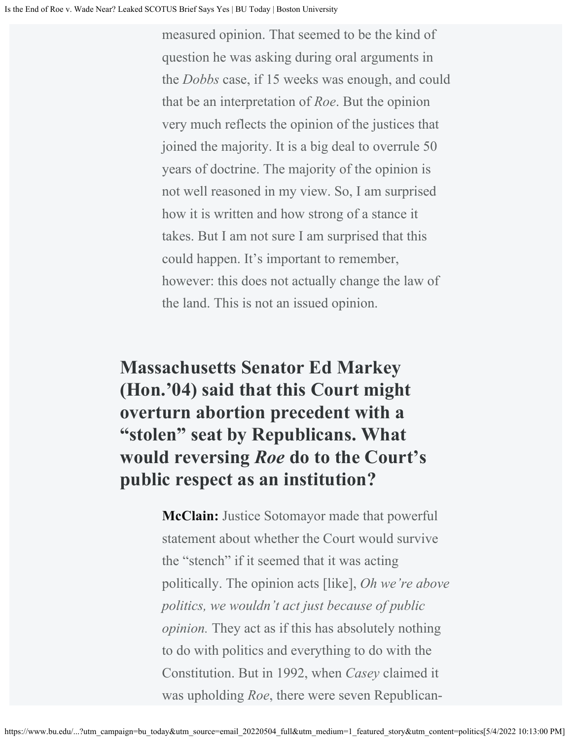measured opinion. That seemed to be the kind of question he was asking during oral arguments in the *Dobbs* case, if 15 weeks was enough, and could that be an interpretation of *Roe*. But the opinion very much reflects the opinion of the justices that joined the majority. It is a big deal to overrule 50 years of doctrine. The majority of the opinion is not well reasoned in my view. So, I am surprised how it is written and how strong of a stance it takes. But I am not sure I am surprised that this could happen. It's important to remember, however: this does not actually change the law of the land. This is not an issued opinion.

# **Massachusetts Senator Ed Markey (Hon.'04) said that this Court might overturn abortion precedent with a "stolen" seat by Republicans. What would reversing** *Roe* **do to the Court's public respect as an institution?**

**McClain:** Justice Sotomayor made that powerful statement about whether the Court would survive the "stench" if it seemed that it was acting politically. The opinion acts [like], *Oh we're above politics, we wouldn't act just because of public opinion.* They act as if this has absolutely nothing to do with politics and everything to do with the Constitution. But in 1992, when *Casey* claimed it was upholding *Roe*, there were seven Republican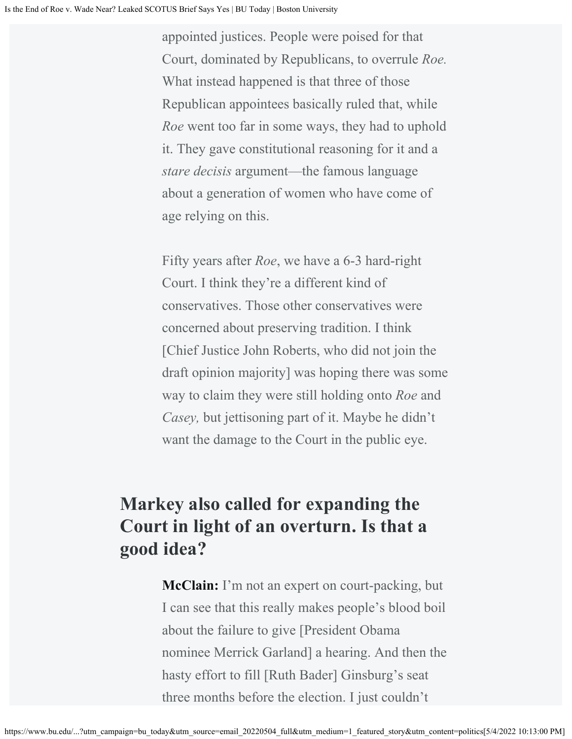appointed justices. People were poised for that Court, dominated by Republicans, to overrule *Roe.* What instead happened is that three of those Republican appointees basically ruled that, while *Roe* went too far in some ways, they had to uphold it. They gave constitutional reasoning for it and a *stare decisis* argument—the famous language about a generation of women who have come of age relying on this.

Fifty years after *Roe*, we have a 6-3 hard-right Court. I think they're a different kind of conservatives. Those other conservatives were concerned about preserving tradition. I think [Chief Justice John Roberts, who did not join the draft opinion majority] was hoping there was some way to claim they were still holding onto *Roe* and *Casey,* but jettisoning part of it. Maybe he didn't want the damage to the Court in the public eye.

## **Markey also called for expanding the Court in light of an overturn. Is that a good idea?**

**McClain:** I'm not an expert on court-packing, but I can see that this really makes people's blood boil about the failure to give [President Obama nominee Merrick Garland] a hearing. And then the hasty effort to fill [Ruth Bader] Ginsburg's seat three months before the election. I just couldn't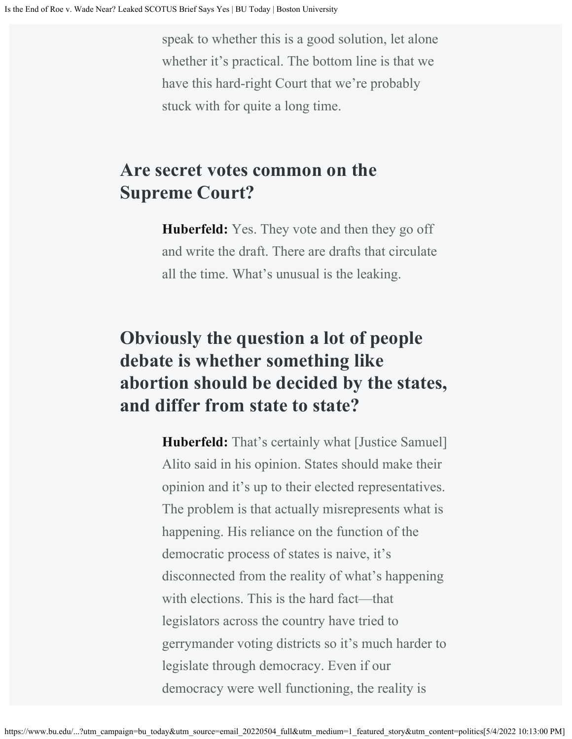speak to whether this is a good solution, let alone whether it's practical. The bottom line is that we have this hard-right Court that we're probably stuck with for quite a long time.

#### **Are secret votes common on the Supreme Court?**

**Huberfeld:** Yes. They vote and then they go off and write the draft. There are drafts that circulate all the time. What's unusual is the leaking.

## **Obviously the question a lot of people debate is whether something like abortion should be decided by the states, and differ from state to state?**

**Huberfeld:** That's certainly what [Justice Samuel] Alito said in his opinion. States should make their opinion and it's up to their elected representatives. The problem is that actually misrepresents what is happening. His reliance on the function of the democratic process of states is naive, it's disconnected from the reality of what's happening with elections. This is the hard fact—that legislators across the country have tried to gerrymander voting districts so it's much harder to legislate through democracy. Even if our democracy were well functioning, the reality is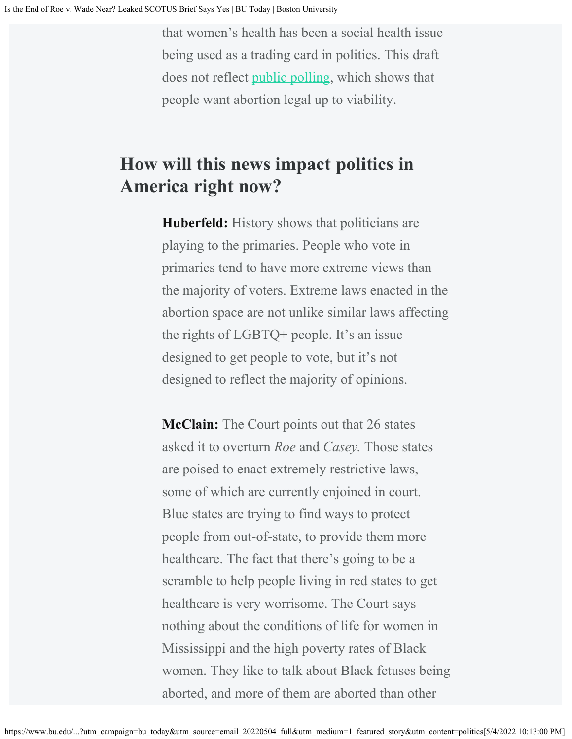that women's health has been a social health issue being used as a trading card in politics. This draft does not reflect [public polling](https://news.gallup.com/poll/1576/abortion.aspx), which shows that people want abortion legal up to viability.

#### **How will this news impact politics in America right now?**

**Huberfeld:** History shows that politicians are playing to the primaries. People who vote in primaries tend to have more extreme views than the majority of voters. Extreme laws enacted in the abortion space are not unlike similar laws affecting the rights of LGBTQ+ people. It's an issue designed to get people to vote, but it's not designed to reflect the majority of opinions.

**McClain:** The Court points out that 26 states asked it to overturn *Roe* and *Casey.* Those states are poised to enact extremely restrictive laws, some of which are currently enjoined in court. Blue states are trying to find ways to protect people from out-of-state, to provide them more healthcare. The fact that there's going to be a scramble to help people living in red states to get healthcare is very worrisome. The Court says nothing about the conditions of life for women in Mississippi and the high poverty rates of Black women. They like to talk about Black fetuses being aborted, and more of them are aborted than other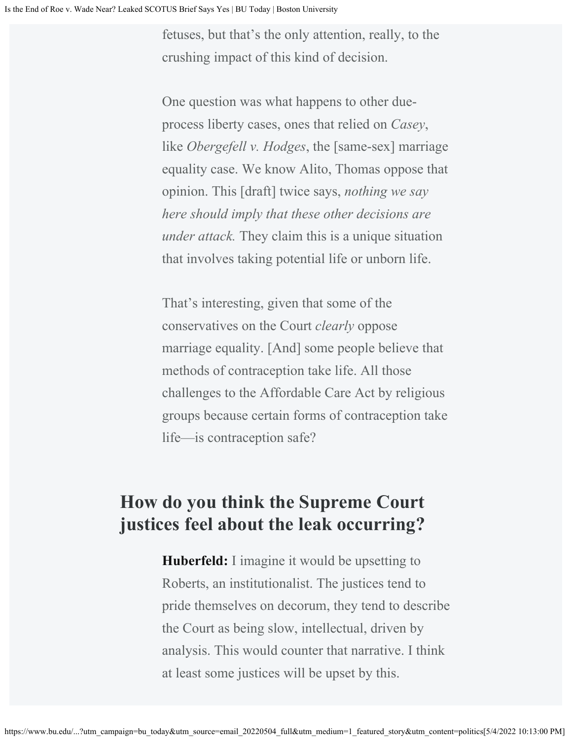fetuses, but that's the only attention, really, to the crushing impact of this kind of decision.

One question was what happens to other dueprocess liberty cases, ones that relied on *Casey*, like *Obergefell v. Hodges*, the [same-sex] marriage equality case. We know Alito, Thomas oppose that opinion. This [draft] twice says, *nothing we say here should imply that these other decisions are under attack.* They claim this is a unique situation that involves taking potential life or unborn life.

That's interesting, given that some of the conservatives on the Court *clearly* oppose marriage equality. [And] some people believe that methods of contraception take life. All those challenges to the Affordable Care Act by religious groups because certain forms of contraception take life—is contraception safe?

#### **How do you think the Supreme Court justices feel about the leak occurring?**

**Huberfeld:** I imagine it would be upsetting to Roberts, an institutionalist. The justices tend to pride themselves on decorum, they tend to describe the Court as being slow, intellectual, driven by analysis. This would counter that narrative. I think at least some justices will be upset by this.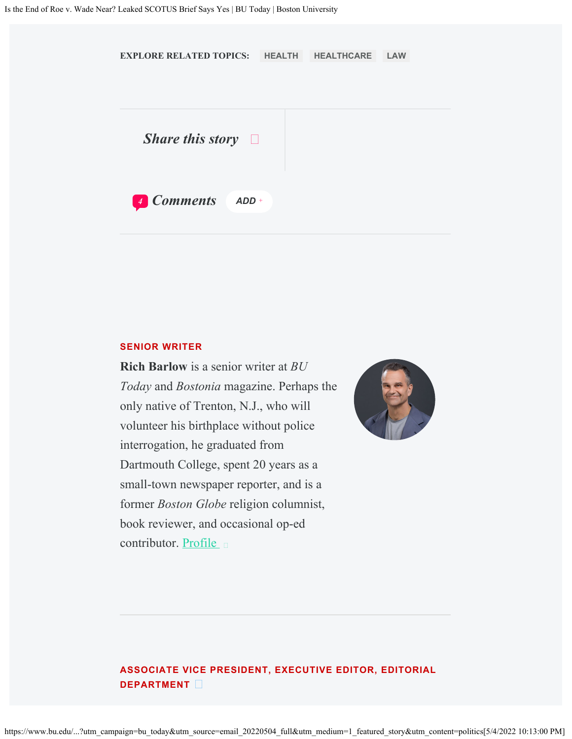

#### **SENIOR WRITER**

**Rich Barlow** is a senior writer at *BU Today* and *Bostonia* magazine. Perhaps the only native of Trenton, N.J., who will volunteer his birthplace without police interrogation, he graduated from Dartmouth College, spent 20 years as a small-town newspaper reporter, and is a former *Boston Globe* religion columnist, book reviewer, and occasional op-ed contributor. [Profile](https://www.bu.edu/today/author/rich-barlow/)  $\Box$ 



#### **ASSOCIATE VICE PRESIDENT, EXECUTIVE EDITOR, EDITORIAL DEPARTMENT**